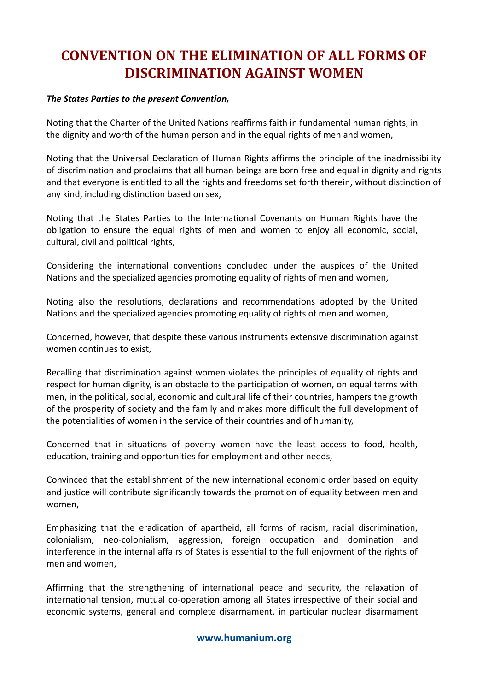# **CONVENTION ON THE ELIMINATION OF ALL FORMS OF DISCRIMINATION AGAINST WOMEN**

#### *The States Parties to the present Convention,*

Noting that the Charter of the United Nations reaffirms faith in fundamental human rights, in the dignity and worth of the human person and in the equal rights of men and women,

Noting that the Universal Declaration of Human Rights affirms the principle of the inadmissibility of discrimination and proclaims that all human beings are born free and equal in dignity and rights and that everyone is entitled to all the rights and freedoms set forth therein, without distinction of any kind, including distinction based on sex,

Noting that the States Parties to the International Covenants on Human Rights have the obligation to ensure the equal rights of men and women to enjoy all economic, social, cultural, civil and political rights,

Considering the international conventions concluded under the auspices of the United Nations and the specialized agencies promoting equality of rights of men and women,

Noting also the resolutions, declarations and recommendations adopted by the United Nations and the specialized agencies promoting equality of rights of men and women,

Concerned, however, that despite these various instruments extensive discrimination against women continues to exist,

Recalling that discrimination against women violates the principles of equality of rights and respect for human dignity, is an obstacle to the participation of women, on equal terms with men, in the political, social, economic and cultural life of their countries, hampers the growth of the prosperity of society and the family and makes more difficult the full development of the potentialities of women in the service of their countries and of humanity,

Concerned that in situations of poverty women have the least access to food, health, education, training and opportunities for employment and other needs,

Convinced that the establishment of the new international economic order based on equity and justice will contribute significantly towards the promotion of equality between men and women,

Emphasizing that the eradication of apartheid, all forms of racism, racial discrimination, colonialism, neo-colonialism, aggression, foreign occupation and domination and interference in the internal affairs of States is essential to the full enjoyment of the rights of men and women,

Affirming that the strengthening of international peace and security, the relaxation of international tension, mutual co-operation among all States irrespective of their social and economic systems, general and complete disarmament, in particular nuclear disarmament

#### **www.humanium.org**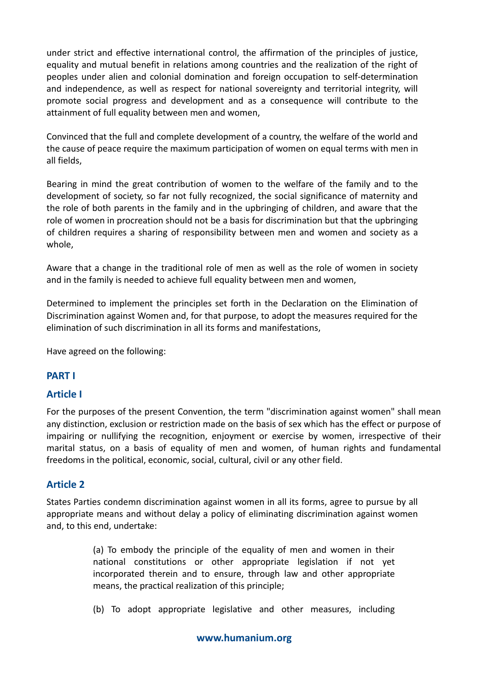under strict and effective international control, the affirmation of the principles of justice, equality and mutual benefit in relations among countries and the realization of the right of peoples under alien and colonial domination and foreign occupation to self-determination and independence, as well as respect for national sovereignty and territorial integrity, will promote social progress and development and as a consequence will contribute to the attainment of full equality between men and women,

Convinced that the full and complete development of a country, the welfare of the world and the cause of peace require the maximum participation of women on equal terms with men in all fields,

Bearing in mind the great contribution of women to the welfare of the family and to the development of society, so far not fully recognized, the social significance of maternity and the role of both parents in the family and in the upbringing of children, and aware that the role of women in procreation should not be a basis for discrimination but that the upbringing of children requires a sharing of responsibility between men and women and society as a whole,

Aware that a change in the traditional role of men as well as the role of women in society and in the family is needed to achieve full equality between men and women,

Determined to implement the principles set forth in the Declaration on the Elimination of Discrimination against Women and, for that purpose, to adopt the measures required for the elimination of such discrimination in all its forms and manifestations,

Have agreed on the following:

## **PART I**

## **Article I**

For the purposes of the present Convention, the term "discrimination against women" shall mean any distinction, exclusion or restriction made on the basis of sex which has the effect or purpose of impairing or nullifying the recognition, enjoyment or exercise by women, irrespective of their marital status, on a basis of equality of men and women, of human rights and fundamental freedoms in the political, economic, social, cultural, civil or any other field.

## **Article 2**

States Parties condemn discrimination against women in all its forms, agree to pursue by all appropriate means and without delay a policy of eliminating discrimination against women and, to this end, undertake:

> (a) To embody the principle of the equality of men and women in their national constitutions or other appropriate legislation if not yet incorporated therein and to ensure, through law and other appropriate means, the practical realization of this principle;

> (b) To adopt appropriate legislative and other measures, including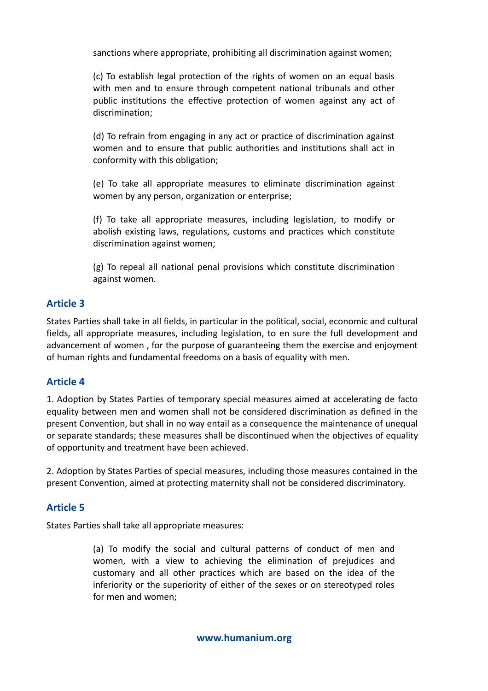sanctions where appropriate, prohibiting all discrimination against women;

(c) To establish legal protection of the rights of women on an equal basis with men and to ensure through competent national tribunals and other public institutions the effective protection of women against any act of discrimination;

(d) To refrain from engaging in any act or practice of discrimination against women and to ensure that public authorities and institutions shall act in conformity with this obligation;

(e) To take all appropriate measures to eliminate discrimination against women by any person, organization or enterprise;

(f) To take all appropriate measures, including legislation, to modify or abolish existing laws, regulations, customs and practices which constitute discrimination against women;

(g) To repeal all national penal provisions which constitute discrimination against women.

# **Article 3**

States Parties shall take in all fields, in particular in the political, social, economic and cultural fields, all appropriate measures, including legislation, to en sure the full development and advancement of women , for the purpose of guaranteeing them the exercise and enjoyment of human rights and fundamental freedoms on a basis of equality with men.

## **Article 4**

1. Adoption by States Parties of temporary special measures aimed at accelerating de facto equality between men and women shall not be considered discrimination as defined in the present Convention, but shall in no way entail as a consequence the maintenance of unequal or separate standards; these measures shall be discontinued when the objectives of equality of opportunity and treatment have been achieved.

2. Adoption by States Parties of special measures, including those measures contained in the present Convention, aimed at protecting maternity shall not be considered discriminatory.

# **Article 5**

States Parties shall take all appropriate measures:

(a) To modify the social and cultural patterns of conduct of men and women, with a view to achieving the elimination of prejudices and customary and all other practices which are based on the idea of the inferiority or the superiority of either of the sexes or on stereotyped roles for men and women;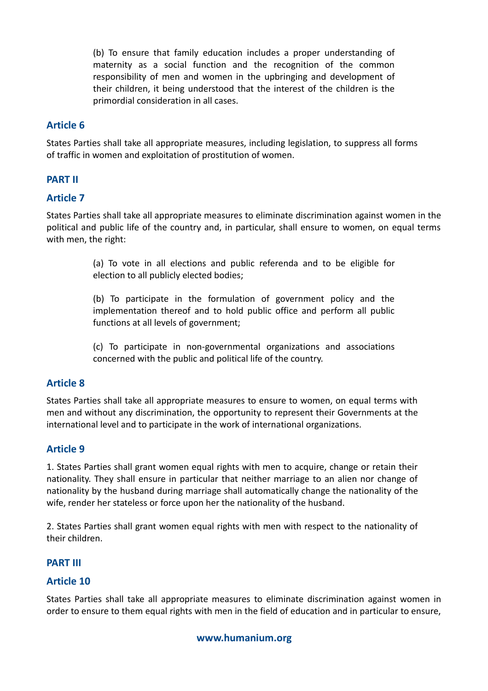(b) To ensure that family education includes a proper understanding of maternity as a social function and the recognition of the common responsibility of men and women in the upbringing and development of their children, it being understood that the interest of the children is the primordial consideration in all cases.

## **Article 6**

States Parties shall take all appropriate measures, including legislation, to suppress all forms of traffic in women and exploitation of prostitution of women.

## **PART II**

## **Article 7**

States Parties shall take all appropriate measures to eliminate discrimination against women in the political and public life of the country and, in particular, shall ensure to women, on equal terms with men, the right:

> (a) To vote in all elections and public referenda and to be eligible for election to all publicly elected bodies;

> (b) To participate in the formulation of government policy and the implementation thereof and to hold public office and perform all public functions at all levels of government;

> (c) To participate in non-governmental organizations and associations concerned with the public and political life of the country.

## **Article 8**

States Parties shall take all appropriate measures to ensure to women, on equal terms with men and without any discrimination, the opportunity to represent their Governments at the international level and to participate in the work of international organizations.

## **Article 9**

1. States Parties shall grant women equal rights with men to acquire, change or retain their nationality. They shall ensure in particular that neither marriage to an alien nor change of nationality by the husband during marriage shall automatically change the nationality of the wife, render her stateless or force upon her the nationality of the husband.

2. States Parties shall grant women equal rights with men with respect to the nationality of their children.

## **PART III**

## **Article 10**

States Parties shall take all appropriate measures to eliminate discrimination against women in order to ensure to them equal rights with men in the field of education and in particular to ensure,

## **www.humanium.org**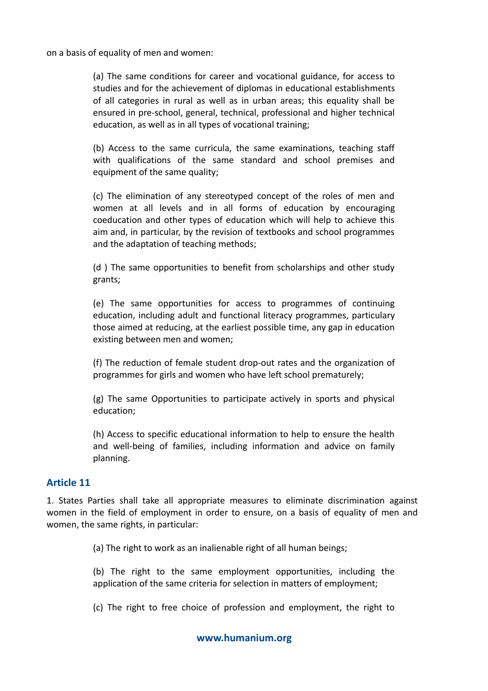on a basis of equality of men and women:

(a) The same conditions for career and vocational guidance, for access to studies and for the achievement of diplomas in educational establishments of all categories in rural as well as in urban areas; this equality shall be ensured in pre-school, general, technical, professional and higher technical education, as well as in all types of vocational training;

(b) Access to the same curricula, the same examinations, teaching staff with qualifications of the same standard and school premises and equipment of the same quality;

(c) The elimination of any stereotyped concept of the roles of men and women at all levels and in all forms of education by encouraging coeducation and other types of education which will help to achieve this aim and, in particular, by the revision of textbooks and school programmes and the adaptation of teaching methods;

(d ) The same opportunities to benefit from scholarships and other study grants;

(e) The same opportunities for access to programmes of continuing education, including adult and functional literacy programmes, particulary those aimed at reducing, at the earliest possible time, any gap in education existing between men and women;

(f) The reduction of female student drop-out rates and the organization of programmes for girls and women who have left school prematurely;

(g) The same Opportunities to participate actively in sports and physical education;

(h) Access to specific educational information to help to ensure the health and well-being of families, including information and advice on family planning.

## **Article 11**

1. States Parties shall take all appropriate measures to eliminate discrimination against women in the field of employment in order to ensure, on a basis of equality of men and women, the same rights, in particular:

(a) The right to work as an inalienable right of all human beings;

(b) The right to the same employment opportunities, including the application of the same criteria for selection in matters of employment;

(c) The right to free choice of profession and employment, the right to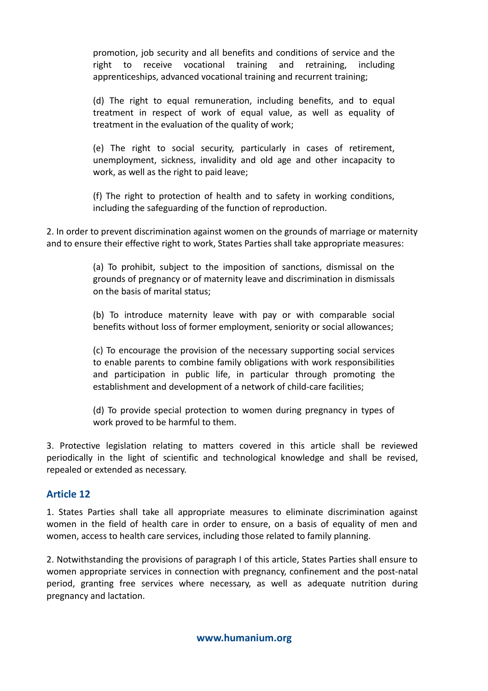promotion, job security and all benefits and conditions of service and the right to receive vocational training and retraining, including apprenticeships, advanced vocational training and recurrent training;

(d) The right to equal remuneration, including benefits, and to equal treatment in respect of work of equal value, as well as equality of treatment in the evaluation of the quality of work;

(e) The right to social security, particularly in cases of retirement, unemployment, sickness, invalidity and old age and other incapacity to work, as well as the right to paid leave;

(f) The right to protection of health and to safety in working conditions, including the safeguarding of the function of reproduction.

2. In order to prevent discrimination against women on the grounds of marriage or maternity and to ensure their effective right to work, States Parties shall take appropriate measures:

> (a) To prohibit, subject to the imposition of sanctions, dismissal on the grounds of pregnancy or of maternity leave and discrimination in dismissals on the basis of marital status;

> (b) To introduce maternity leave with pay or with comparable social benefits without loss of former employment, seniority or social allowances;

> (c) To encourage the provision of the necessary supporting social services to enable parents to combine family obligations with work responsibilities and participation in public life, in particular through promoting the establishment and development of a network of child-care facilities;

> (d) To provide special protection to women during pregnancy in types of work proved to be harmful to them.

3. Protective legislation relating to matters covered in this article shall be reviewed periodically in the light of scientific and technological knowledge and shall be revised, repealed or extended as necessary.

# **Article 12**

1. States Parties shall take all appropriate measures to eliminate discrimination against women in the field of health care in order to ensure, on a basis of equality of men and women, access to health care services, including those related to family planning.

2. Notwithstanding the provisions of paragraph I of this article, States Parties shall ensure to women appropriate services in connection with pregnancy, confinement and the post-natal period, granting free services where necessary, as well as adequate nutrition during pregnancy and lactation.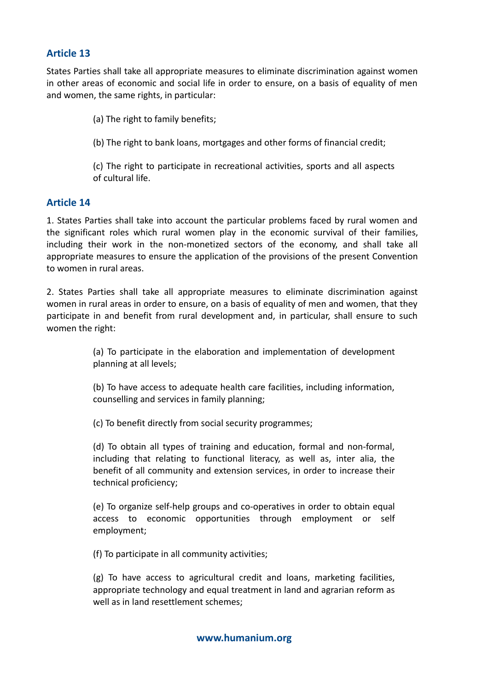## **Article 13**

States Parties shall take all appropriate measures to eliminate discrimination against women in other areas of economic and social life in order to ensure, on a basis of equality of men and women, the same rights, in particular:

(a) The right to family benefits;

(b) The right to bank loans, mortgages and other forms of financial credit;

(c) The right to participate in recreational activities, sports and all aspects of cultural life.

#### **Article 14**

1. States Parties shall take into account the particular problems faced by rural women and the significant roles which rural women play in the economic survival of their families, including their work in the non-monetized sectors of the economy, and shall take all appropriate measures to ensure the application of the provisions of the present Convention to women in rural areas.

2. States Parties shall take all appropriate measures to eliminate discrimination against women in rural areas in order to ensure, on a basis of equality of men and women, that they participate in and benefit from rural development and, in particular, shall ensure to such women the right:

> (a) To participate in the elaboration and implementation of development planning at all levels;

> (b) To have access to adequate health care facilities, including information, counselling and services in family planning;

(c) To benefit directly from social security programmes;

(d) To obtain all types of training and education, formal and non-formal, including that relating to functional literacy, as well as, inter alia, the benefit of all community and extension services, in order to increase their technical proficiency;

(e) To organize self-help groups and co-operatives in order to obtain equal access to economic opportunities through employment or self employment;

(f) To participate in all community activities;

(g) To have access to agricultural credit and loans, marketing facilities, appropriate technology and equal treatment in land and agrarian reform as well as in land resettlement schemes;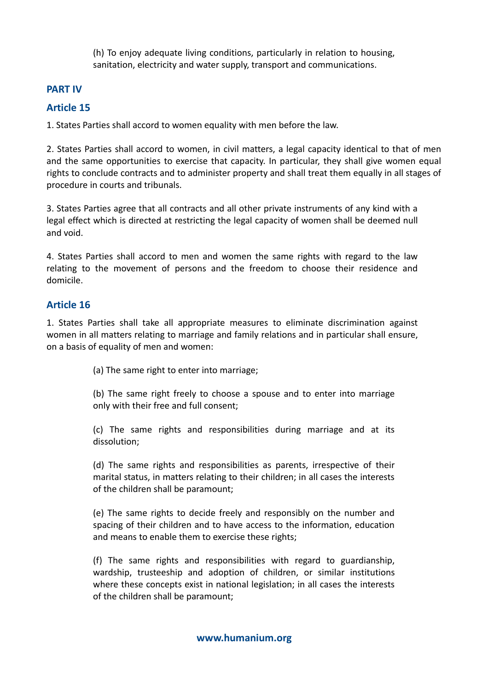(h) To enjoy adequate living conditions, particularly in relation to housing, sanitation, electricity and water supply, transport and communications.

## **PART IV**

## **Article 15**

1. States Parties shall accord to women equality with men before the law.

2. States Parties shall accord to women, in civil matters, a legal capacity identical to that of men and the same opportunities to exercise that capacity. In particular, they shall give women equal rights to conclude contracts and to administer property and shall treat them equally in all stages of procedure in courts and tribunals.

3. States Parties agree that all contracts and all other private instruments of any kind with a legal effect which is directed at restricting the legal capacity of women shall be deemed null and void.

4. States Parties shall accord to men and women the same rights with regard to the law relating to the movement of persons and the freedom to choose their residence and domicile.

# **Article 16**

1. States Parties shall take all appropriate measures to eliminate discrimination against women in all matters relating to marriage and family relations and in particular shall ensure, on a basis of equality of men and women:

(a) The same right to enter into marriage;

(b) The same right freely to choose a spouse and to enter into marriage only with their free and full consent;

(c) The same rights and responsibilities during marriage and at its dissolution;

(d) The same rights and responsibilities as parents, irrespective of their marital status, in matters relating to their children; in all cases the interests of the children shall be paramount;

(e) The same rights to decide freely and responsibly on the number and spacing of their children and to have access to the information, education and means to enable them to exercise these rights;

(f) The same rights and responsibilities with regard to guardianship, wardship, trusteeship and adoption of children, or similar institutions where these concepts exist in national legislation; in all cases the interests of the children shall be paramount;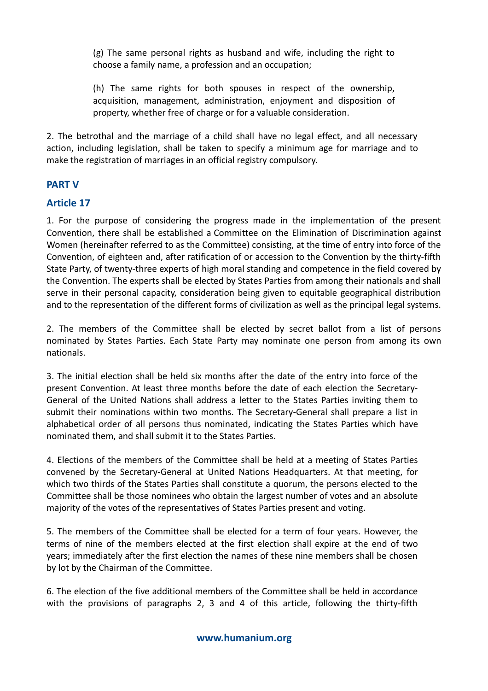(g) The same personal rights as husband and wife, including the right to choose a family name, a profession and an occupation;

(h) The same rights for both spouses in respect of the ownership, acquisition, management, administration, enjoyment and disposition of property, whether free of charge or for a valuable consideration.

2. The betrothal and the marriage of a child shall have no legal effect, and all necessary action, including legislation, shall be taken to specify a minimum age for marriage and to make the registration of marriages in an official registry compulsory.

## **PART V**

## **Article 17**

1. For the purpose of considering the progress made in the implementation of the present Convention, there shall be established a Committee on the Elimination of Discrimination against Women (hereinafter referred to as the Committee) consisting, at the time of entry into force of the Convention, of eighteen and, after ratification of or accession to the Convention by the thirty-fifth State Party, of twenty-three experts of high moral standing and competence in the field covered by the Convention. The experts shall be elected by States Parties from among their nationals and shall serve in their personal capacity, consideration being given to equitable geographical distribution and to the representation of the different forms of civilization as well as the principal legal systems.

2. The members of the Committee shall be elected by secret ballot from a list of persons nominated by States Parties. Each State Party may nominate one person from among its own nationals.

3. The initial election shall be held six months after the date of the entry into force of the present Convention. At least three months before the date of each election the Secretary-General of the United Nations shall address a letter to the States Parties inviting them to submit their nominations within two months. The Secretary-General shall prepare a list in alphabetical order of all persons thus nominated, indicating the States Parties which have nominated them, and shall submit it to the States Parties.

4. Elections of the members of the Committee shall be held at a meeting of States Parties convened by the Secretary-General at United Nations Headquarters. At that meeting, for which two thirds of the States Parties shall constitute a quorum, the persons elected to the Committee shall be those nominees who obtain the largest number of votes and an absolute majority of the votes of the representatives of States Parties present and voting.

5. The members of the Committee shall be elected for a term of four years. However, the terms of nine of the members elected at the first election shall expire at the end of two years; immediately after the first election the names of these nine members shall be chosen by lot by the Chairman of the Committee.

6. The election of the five additional members of the Committee shall be held in accordance with the provisions of paragraphs 2, 3 and 4 of this article, following the thirty-fifth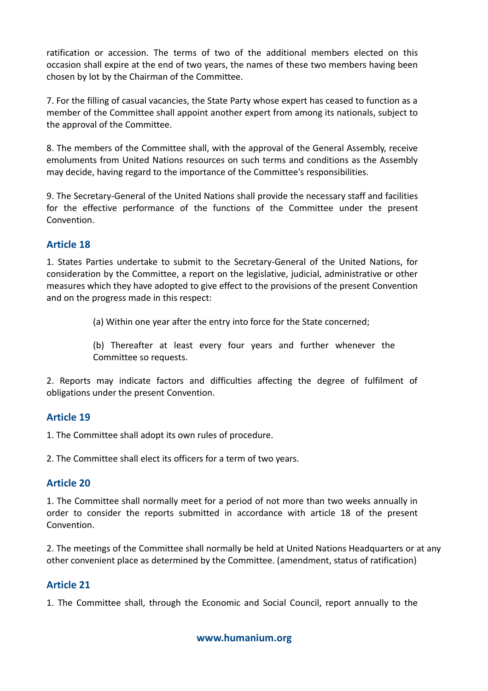ratification or accession. The terms of two of the additional members elected on this occasion shall expire at the end of two years, the names of these two members having been chosen by lot by the Chairman of the Committee.

7. For the filling of casual vacancies, the State Party whose expert has ceased to function as a member of the Committee shall appoint another expert from among its nationals, subject to the approval of the Committee.

8. The members of the Committee shall, with the approval of the General Assembly, receive emoluments from United Nations resources on such terms and conditions as the Assembly may decide, having regard to the importance of the Committee's responsibilities.

9. The Secretary-General of the United Nations shall provide the necessary staff and facilities for the effective performance of the functions of the Committee under the present Convention.

# **Article 18**

1. States Parties undertake to submit to the Secretary-General of the United Nations, for consideration by the Committee, a report on the legislative, judicial, administrative or other measures which they have adopted to give effect to the provisions of the present Convention and on the progress made in this respect:

(a) Within one year after the entry into force for the State concerned;

(b) Thereafter at least every four years and further whenever the Committee so requests.

2. Reports may indicate factors and difficulties affecting the degree of fulfilment of obligations under the present Convention.

# **Article 19**

1. The Committee shall adopt its own rules of procedure.

2. The Committee shall elect its officers for a term of two years.

## **Article 20**

1. The Committee shall normally meet for a period of not more than two weeks annually in order to consider the reports submitted in accordance with article 18 of the present Convention.

2. The meetings of the Committee shall normally be held at United Nations Headquarters or at any other convenient place as determined by the Committee. [\(amendment,](http://daccess-ods.un.org/access.nsf/Get?Open&DS=A/RES/50/202&Lang=E) status of ratification)

## **Article 21**

1. The Committee shall, through the Economic and Social Council, report annually to the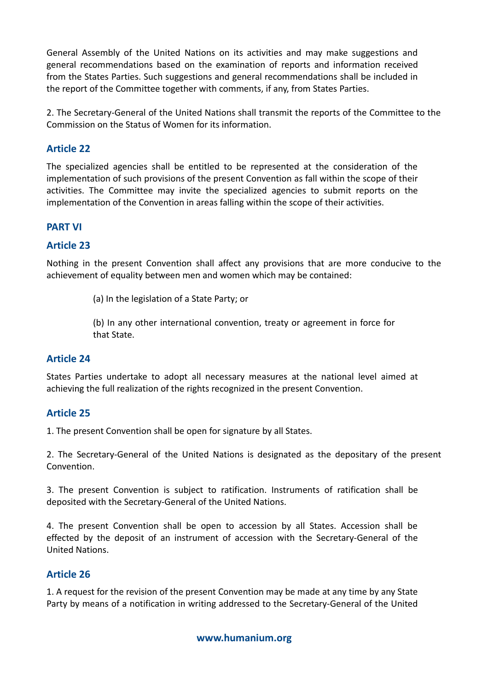General Assembly of the United Nations on its activities and may make suggestions and general recommendations based on the examination of reports and information received from the States Parties. Such suggestions and general recommendations shall be included in the report of the Committee together with comments, if any, from States Parties.

2. The Secretary-General of the United Nations shall transmit the reports of the Committee to the Commission on the Status of Women for its information.

## **Article 22**

The specialized agencies shall be entitled to be represented at the consideration of the implementation of such provisions of the present Convention as fall within the scope of their activities. The Committee may invite the specialized agencies to submit reports on the implementation of the Convention in areas falling within the scope of their activities.

## **PART VI**

## **Article 23**

Nothing in the present Convention shall affect any provisions that are more conducive to the achievement of equality between men and women which may be contained:

(a) In the legislation of a State Party; or

(b) In any other international convention, treaty or agreement in force for that State.

## **Article 24**

States Parties undertake to adopt all necessary measures at the national level aimed at achieving the full realization of the rights recognized in the present Convention.

## **Article 25**

1. The present Convention shall be open for signature by all States.

2. The Secretary-General of the United Nations is designated as the depositary of the present Convention.

3. The present Convention is subject to ratification. Instruments of ratification shall be deposited with the Secretary-General of the United Nations.

4. The present Convention shall be open to accession by all States. Accession shall be effected by the deposit of an instrument of accession with the Secretary-General of the United Nations.

## **Article 26**

1. A request for the revision of the present Convention may be made at any time by any State Party by means of a notification in writing addressed to the Secretary-General of the United

#### **www.humanium.org**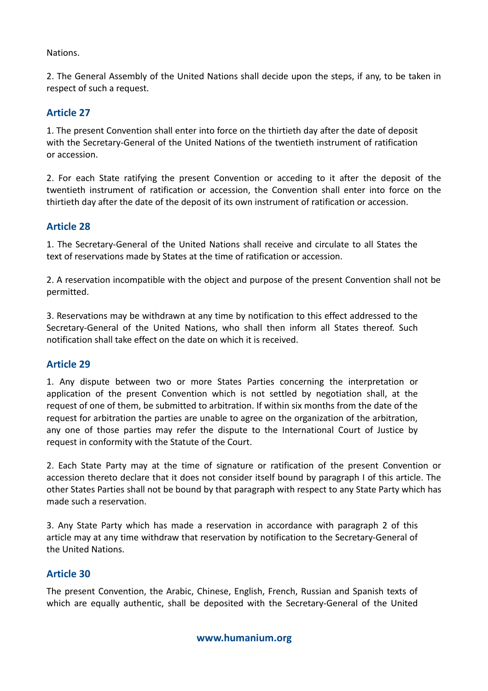Nations.

2. The General Assembly of the United Nations shall decide upon the steps, if any, to be taken in respect of such a request.

## **Article 27**

1. The present Convention shall enter into force on the thirtieth day after the date of deposit with the Secretary-General of the United Nations of the twentieth instrument of ratification or accession.

2. For each State ratifying the present Convention or acceding to it after the deposit of the twentieth instrument of ratification or accession, the Convention shall enter into force on the thirtieth day after the date of the deposit of its own instrument of ratification or accession.

## **Article 28**

1. The Secretary-General of the United Nations shall receive and circulate to all States the text of reservations made by States at the time of ratification or accession.

2. A reservation incompatible with the object and purpose of the present Convention shall not be permitted.

3. Reservations may be withdrawn at any time by notification to this effect addressed to the Secretary-General of the United Nations, who shall then inform all States thereof. Such notification shall take effect on the date on which it is received.

## **Article 29**

1. Any dispute between two or more States Parties concerning the interpretation or application of the present Convention which is not settled by negotiation shall, at the request of one of them, be submitted to arbitration. If within six months from the date of the request for arbitration the parties are unable to agree on the organization of the arbitration, any one of those parties may refer the dispute to the International Court of Justice by request in conformity with the Statute of the Court.

2. Each State Party may at the time of signature or ratification of the present Convention or accession thereto declare that it does not consider itself bound by paragraph I of this article. The other States Parties shall not be bound by that paragraph with respect to any State Party which has made such a reservation.

3. Any State Party which has made a reservation in accordance with paragraph 2 of this article may at any time withdraw that reservation by notification to the Secretary-General of the United Nations.

## **Article 30**

The present Convention, the Arabic, Chinese, English, French, Russian and Spanish texts of which are equally authentic, shall be deposited with the Secretary-General of the United